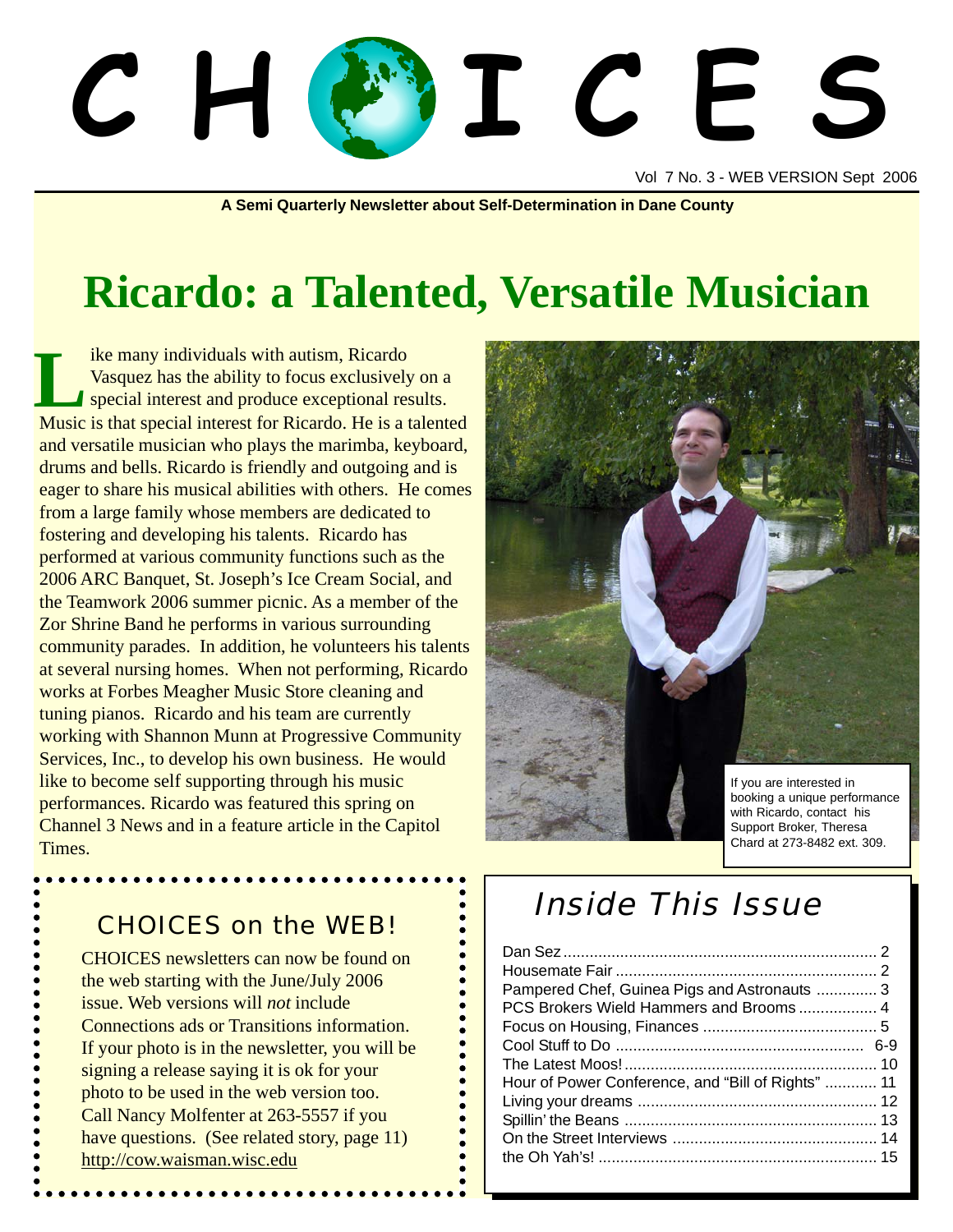# C H OF L C E

Vol 7 No. 3 - WEB VERSION Sept 2006

**A Semi Quarterly Newsletter about Self-Determination in Dane County**

# **Ricardo: a Talented, Versatile Musician**

ike many individuals with autism, Ricardo Vasquez has the ability to focus exclusively on a special interest and produce exceptional results. Is the many individuals with autism, Ricardo<br>
Vasquez has the ability to focus exclusively on a<br>
special interest and produce exceptional results.<br>
Music is that special interest for Ricardo. He is a talented and versatile musician who plays the marimba, keyboard, drums and bells. Ricardo is friendly and outgoing and is eager to share his musical abilities with others. He comes from a large family whose members are dedicated to fostering and developing his talents. Ricardo has performed at various community functions such as the 2006 ARC Banquet, St. Joseph's Ice Cream Social, and the Teamwork 2006 summer picnic. As a member of the Zor Shrine Band he performs in various surrounding community parades. In addition, he volunteers his talents at several nursing homes. When not performing, Ricardo works at Forbes Meagher Music Store cleaning and tuning pianos. Ricardo and his team are currently working with Shannon Munn at Progressive Community Services, Inc., to develop his own business. He would like to become self supporting through his music performances. Ricardo was featured this spring on Channel 3 News and in a feature article in the Capitol Times.



#### CHOICES on the WEB!

CHOICES newsletters can now be found on the web starting with the June/July 2006 issue. Web versions will *not* include Connections ads or Transitions information. If your photo is in the newsletter, you will be signing a release saying it is ok for your photo to be used in the web version too. Call Nancy Molfenter at 263-5557 if you have questions. (See related story, page 11) http://cow.waisman.wisc.edu

# Inside This Issue

| Pampered Chef, Guinea Pigs and Astronauts  3       |  |
|----------------------------------------------------|--|
| PCS Brokers Wield Hammers and Brooms 4             |  |
|                                                    |  |
|                                                    |  |
|                                                    |  |
| Hour of Power Conference, and "Bill of Rights"  11 |  |
|                                                    |  |
|                                                    |  |
|                                                    |  |
|                                                    |  |
|                                                    |  |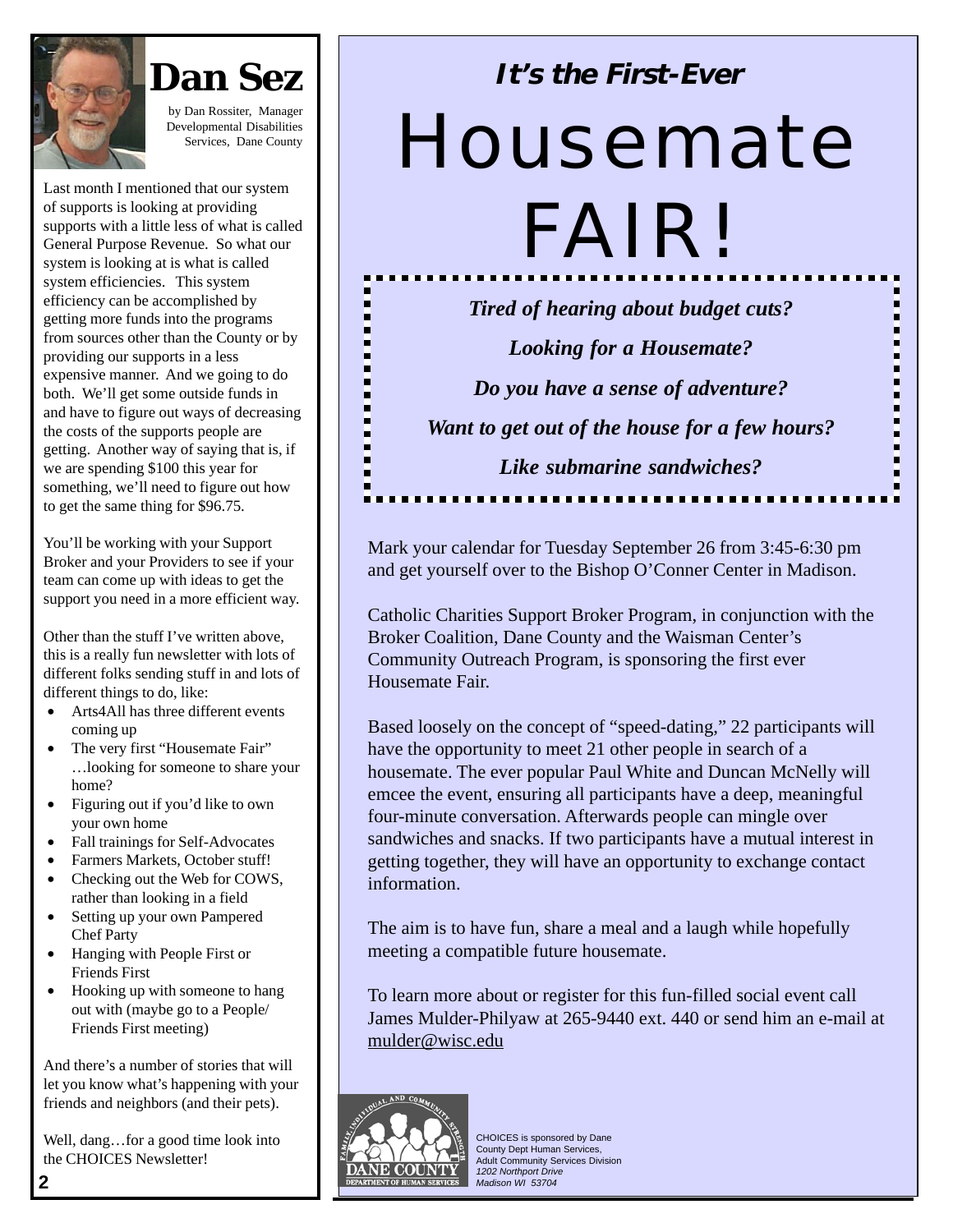

by Dan Rossiter, Manager Developmental Disabilities Services, Dane County

> п п п

> п

п

п

П

н

н

Last month I mentioned that our system of supports is looking at providing supports with a little less of what is called General Purpose Revenue. So what our system is looking at is what is called system efficiencies. This system efficiency can be accomplished by getting more funds into the programs from sources other than the County or by providing our supports in a less expensive manner. And we going to do both. We'll get some outside funds in and have to figure out ways of decreasing the costs of the supports people are getting. Another way of saying that is, if we are spending \$100 this year for something, we'll need to figure out how to get the same thing for \$96.75.

You'll be working with your Support Broker and your Providers to see if your team can come up with ideas to get the support you need in a more efficient way.

Other than the stuff I've written above, this is a really fun newsletter with lots of different folks sending stuff in and lots of different things to do, like:

- Arts4All has three different events coming up
- The very first "Housemate Fair" …looking for someone to share your home?
- Figuring out if you'd like to own your own home
- Fall trainings for Self-Advocates
- Farmers Markets, October stuff!
- Checking out the Web for COWS, rather than looking in a field
- Setting up your own Pampered Chef Party
- Hanging with People First or Friends First
- Hooking up with someone to hang out with (maybe go to a People/ Friends First meeting)

And there's a number of stories that will let you know what's happening with your friends and neighbors (and their pets).

Well, dang…for a good time look into the CHOICES Newsletter!

# **It's the First-Ever**

# Housemate

FAIR!

*Tired of hearing about budget cuts? Looking for a Housemate? Do you have a sense of adventure? Want to get out of the house for a few hours? Like submarine sandwiches?*

п

п

н

п

п

н

Mark your calendar for Tuesday September 26 from 3:45-6:30 pm and get yourself over to the Bishop O'Conner Center in Madison.

Catholic Charities Support Broker Program, in conjunction with the Broker Coalition, Dane County and the Waisman Center's Community Outreach Program, is sponsoring the first ever Housemate Fair.

Based loosely on the concept of "speed-dating," 22 participants will have the opportunity to meet 21 other people in search of a housemate. The ever popular Paul White and Duncan McNelly will emcee the event, ensuring all participants have a deep, meaningful four-minute conversation. Afterwards people can mingle over sandwiches and snacks. If two participants have a mutual interest in getting together, they will have an opportunity to exchange contact information.

The aim is to have fun, share a meal and a laugh while hopefully meeting a compatible future housemate.

To learn more about or register for this fun-filled social event call James Mulder-Philyaw at 265-9440 ext. 440 or send him an e-mail at mulder@wisc.edu

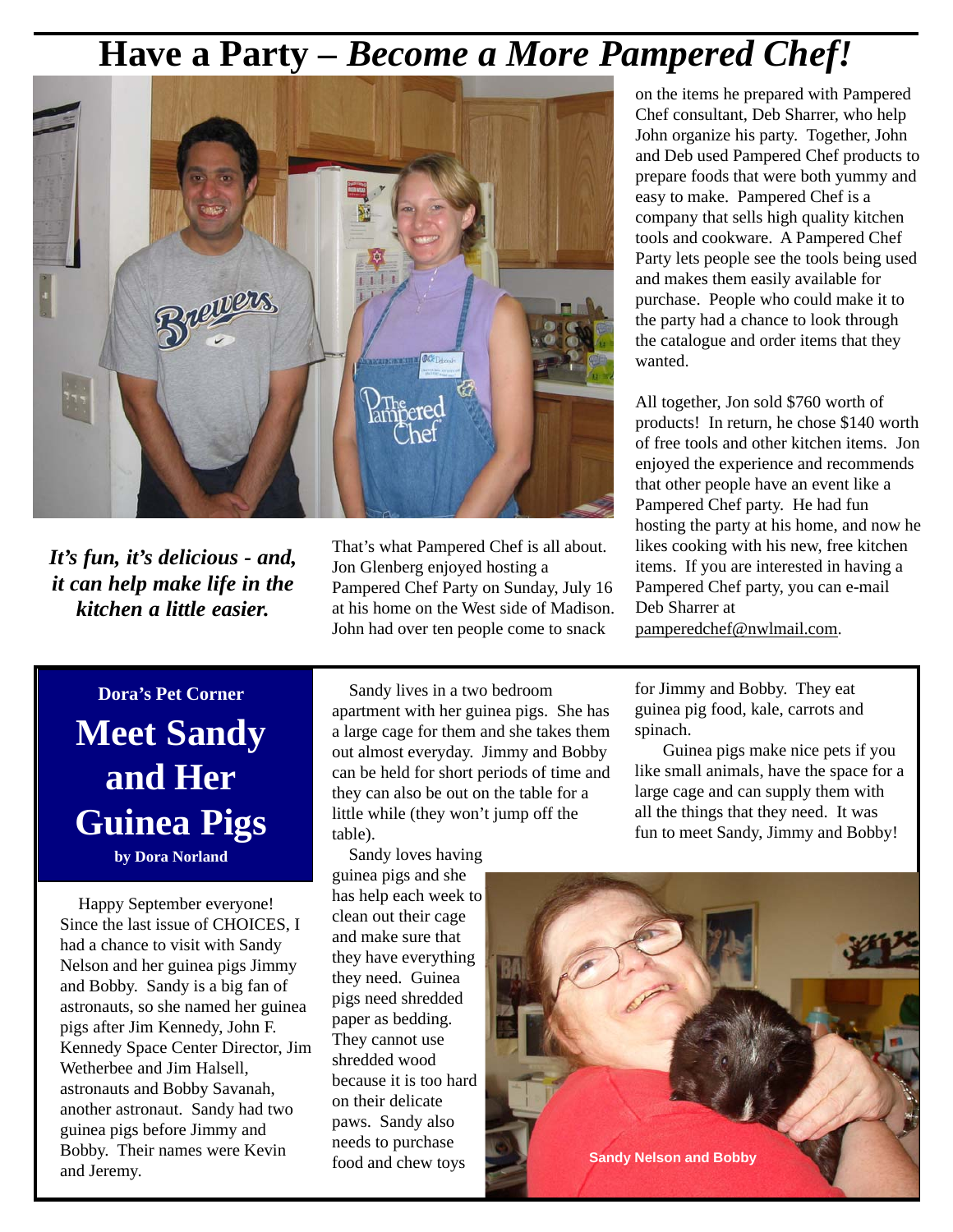# **Have a Party –** *Become a More Pampered Chef!*



*It's fun, it's delicious - and, it can help make life in the kitchen a little easier.*

That's what Pampered Chef is all about. Jon Glenberg enjoyed hosting a Pampered Chef Party on Sunday, July 16 at his home on the West side of Madison. John had over ten people come to snack

# **Dora's Pet Corner Meet Sandy and Her Guinea Pigs**

**by Dora Norland**

 Happy September everyone! Since the last issue of CHOICES, I had a chance to visit with Sandy Nelson and her guinea pigs Jimmy and Bobby. Sandy is a big fan of astronauts, so she named her guinea pigs after Jim Kennedy, John F. Kennedy Space Center Director, Jim Wetherbee and Jim Halsell, astronauts and Bobby Savanah, another astronaut. Sandy had two guinea pigs before Jimmy and Bobby. Their names were Kevin and Jeremy.

 Sandy lives in a two bedroom apartment with her guinea pigs. She has a large cage for them and she takes them out almost everyday. Jimmy and Bobby can be held for short periods of time and they can also be out on the table for a little while (they won't jump off the table).

 Sandy loves having guinea pigs and she has help each week to clean out their cage and make sure that they have everything they need. Guinea pigs need shredded paper as bedding. They cannot use shredded wood because it is too hard on their delicate paws. Sandy also needs to purchase food and chew toys

on the items he prepared with Pampered Chef consultant, Deb Sharrer, who help John organize his party. Together, John and Deb used Pampered Chef products to prepare foods that were both yummy and easy to make. Pampered Chef is a company that sells high quality kitchen tools and cookware. A Pampered Chef Party lets people see the tools being used and makes them easily available for purchase. People who could make it to the party had a chance to look through the catalogue and order items that they wanted.

All together, Jon sold \$760 worth of products! In return, he chose \$140 worth of free tools and other kitchen items. Jon enjoyed the experience and recommends that other people have an event like a Pampered Chef party. He had fun hosting the party at his home, and now he likes cooking with his new, free kitchen items. If you are interested in having a Pampered Chef party, you can e-mail Deb Sharrer at pamperedchef@nwlmail.com.

for Jimmy and Bobby. They eat guinea pig food, kale, carrots and spinach.

Guinea pigs make nice pets if you like small animals, have the space for a large cage and can supply them with all the things that they need. It was fun to meet Sandy, Jimmy and Bobby!

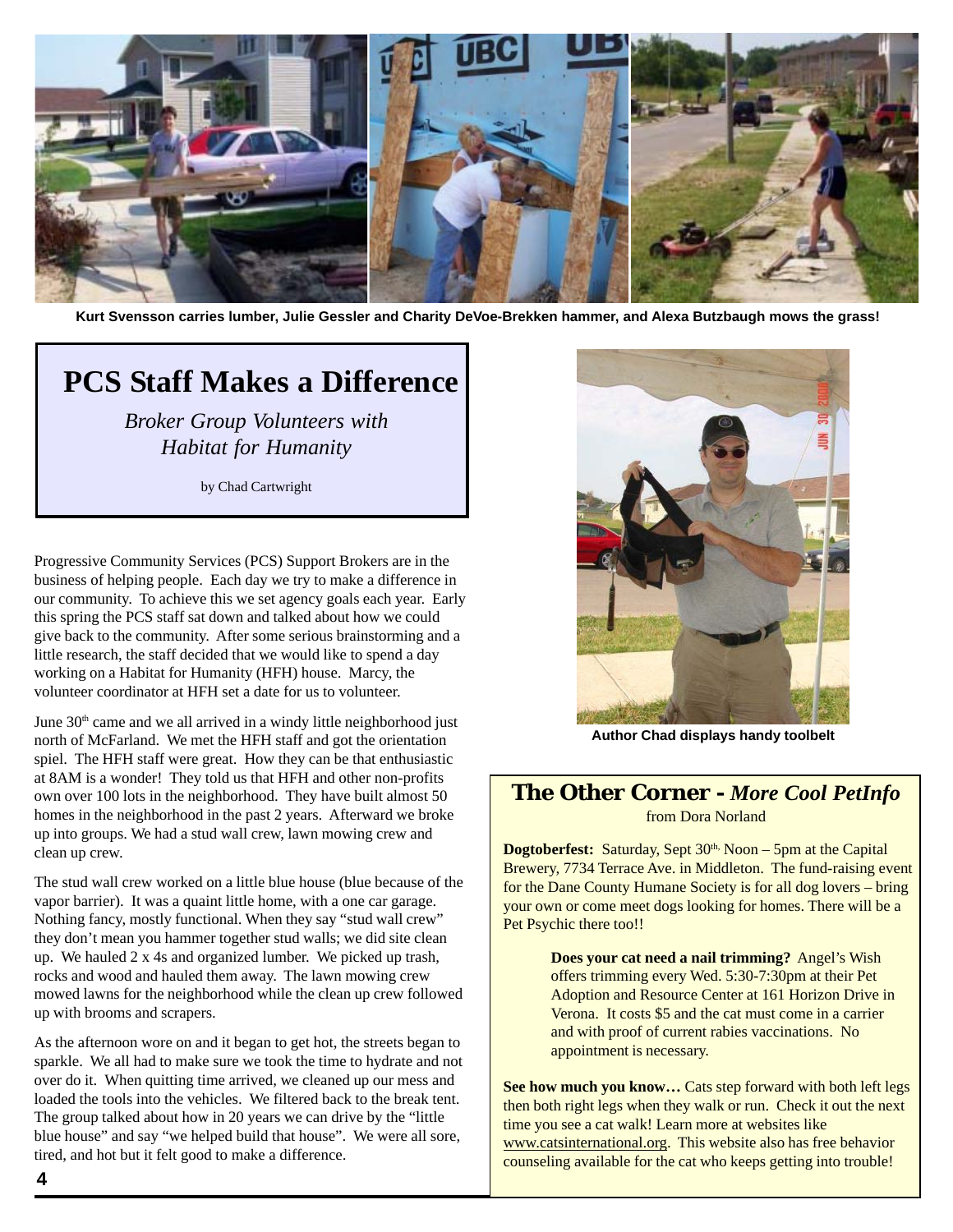

**Kurt Svensson carries lumber, Julie Gessler and Charity DeVoe-Brekken hammer, and Alexa Butzbaugh mows the grass!**

# **PCS Staff Makes a Difference**

*Broker Group Volunteers with Habitat for Humanity*

by Chad Cartwright

Progressive Community Services (PCS) Support Brokers are in the business of helping people. Each day we try to make a difference in our community. To achieve this we set agency goals each year. Early this spring the PCS staff sat down and talked about how we could give back to the community. After some serious brainstorming and a little research, the staff decided that we would like to spend a day working on a Habitat for Humanity (HFH) house. Marcy, the volunteer coordinator at HFH set a date for us to volunteer.

June 30<sup>th</sup> came and we all arrived in a windy little neighborhood just north of McFarland. We met the HFH staff and got the orientation spiel. The HFH staff were great. How they can be that enthusiastic at 8AM is a wonder! They told us that HFH and other non-profits own over 100 lots in the neighborhood. They have built almost 50 homes in the neighborhood in the past 2 years. Afterward we broke up into groups. We had a stud wall crew, lawn mowing crew and clean up crew.

The stud wall crew worked on a little blue house (blue because of the vapor barrier). It was a quaint little home, with a one car garage. Nothing fancy, mostly functional. When they say "stud wall crew" they don't mean you hammer together stud walls; we did site clean up. We hauled 2 x 4s and organized lumber. We picked up trash, rocks and wood and hauled them away. The lawn mowing crew mowed lawns for the neighborhood while the clean up crew followed up with brooms and scrapers.

As the afternoon wore on and it began to get hot, the streets began to sparkle. We all had to make sure we took the time to hydrate and not over do it. When quitting time arrived, we cleaned up our mess and loaded the tools into the vehicles. We filtered back to the break tent. The group talked about how in 20 years we can drive by the "little blue house" and say "we helped build that house". We were all sore, tired, and hot but it felt good to make a difference.



**Author Chad displays handy toolbelt**

#### **The Other Corner -** *More Cool PetInfo* from Dora Norland

**Dogtoberfest:** Saturday, Sept 30<sup>th,</sup> Noon – 5pm at the Capital Brewery, 7734 Terrace Ave. in Middleton. The fund-raising event for the Dane County Humane Society is for all dog lovers – bring your own or come meet dogs looking for homes. There will be a Pet Psychic there too!!

> **Does your cat need a nail trimming?** Angel's Wish offers trimming every Wed. 5:30-7:30pm at their Pet Adoption and Resource Center at 161 Horizon Drive in Verona. It costs \$5 and the cat must come in a carrier and with proof of current rabies vaccinations. No appointment is necessary.

**See how much you know…** Cats step forward with both left legs then both right legs when they walk or run. Check it out the next time you see a cat walk! Learn more at websites like www.catsinternational.org. This website also has free behavior counseling available for the cat who keeps getting into trouble!

**4**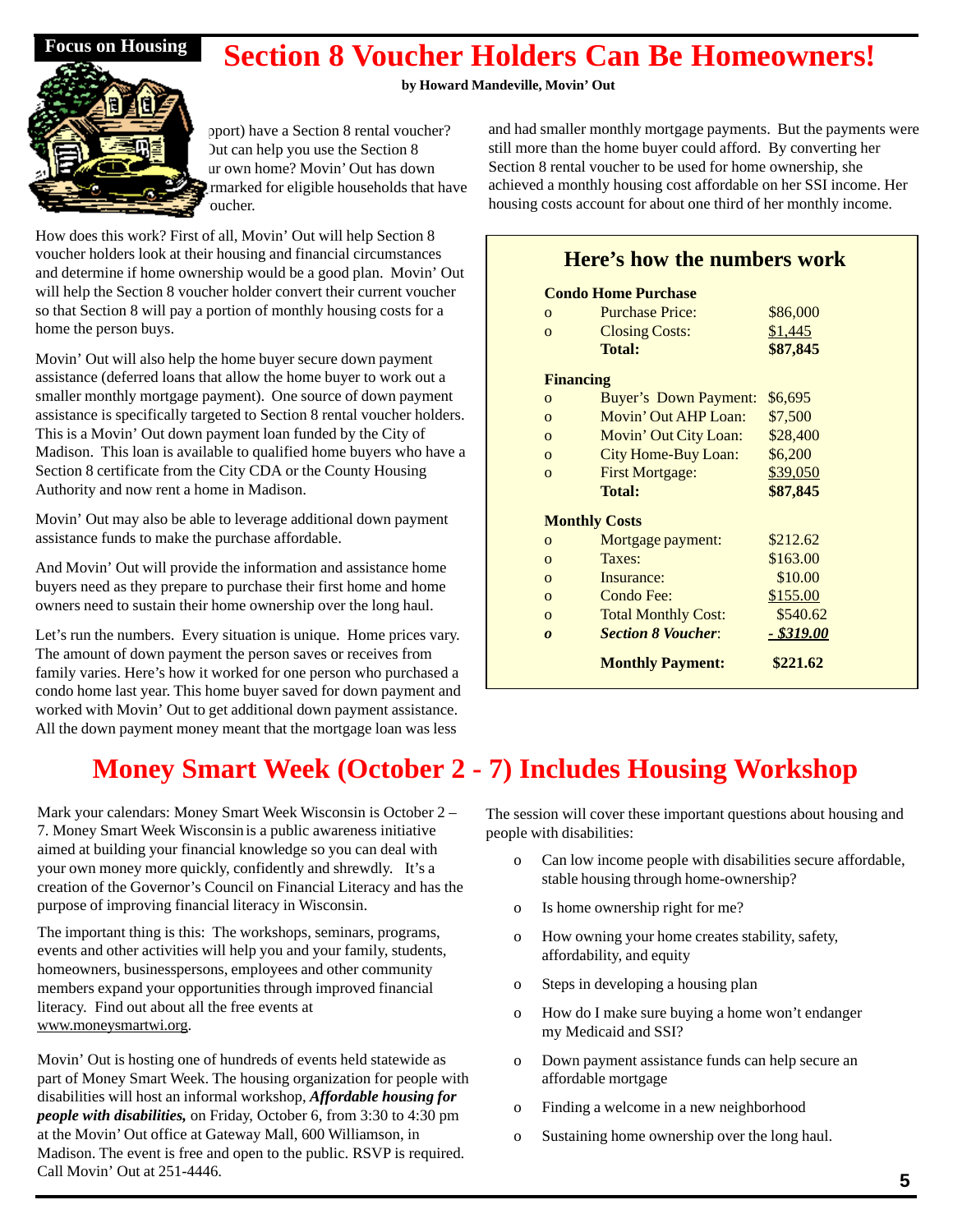### **Section 8 Voucher Holders Can Be Homeowners!**

#### **by Howard Mandeville, Movin' Out**



port) have a Section 8 rental voucher? Dut can help you use the Section 8 ur own home? Movin' Out has down rmarked for eligible households that have oucher.

How does this work? First of all, Movin' Out will help Section 8 voucher holders look at their housing and financial circumstances and determine if home ownership would be a good plan. Movin' Out will help the Section 8 voucher holder convert their current voucher so that Section 8 will pay a portion of monthly housing costs for a home the person buys.

Movin' Out will also help the home buyer secure down payment assistance (deferred loans that allow the home buyer to work out a smaller monthly mortgage payment). One source of down payment assistance is specifically targeted to Section 8 rental voucher holders. This is a Movin' Out down payment loan funded by the City of Madison. This loan is available to qualified home buyers who have a Section 8 certificate from the City CDA or the County Housing Authority and now rent a home in Madison.

Movin' Out may also be able to leverage additional down payment assistance funds to make the purchase affordable.

And Movin' Out will provide the information and assistance home buyers need as they prepare to purchase their first home and home owners need to sustain their home ownership over the long haul.

Let's run the numbers. Every situation is unique. Home prices vary. The amount of down payment the person saves or receives from family varies. Here's how it worked for one person who purchased a condo home last year. This home buyer saved for down payment and worked with Movin' Out to get additional down payment assistance. All the down payment money meant that the mortgage loan was less

# **Money Smart Week (October 2 - 7) Includes Housing Workshop**

Mark your calendars: Money Smart Week Wisconsin is October 2 – 7. Money Smart Week Wisconsin is a public awareness initiative aimed at building your financial knowledge so you can deal with your own money more quickly, confidently and shrewdly. It's a creation of the Governor's Council on Financial Literacy and has the purpose of improving financial literacy in Wisconsin.

The important thing is this: The workshops, seminars, programs, events and other activities will help you and your family, students, homeowners, businesspersons, employees and other community members expand your opportunities through improved financial literacy. Find out about all the free events at www.moneysmartwi.org.

Movin' Out is hosting one of hundreds of events held statewide as part of Money Smart Week. The housing organization for people with disabilities will host an informal workshop, *Affordable housing for people with disabilities,* on Friday, October 6, from 3:30 to 4:30 pm at the Movin' Out office at Gateway Mall, 600 Williamson, in Madison. The event is free and open to the public. RSVP is required. Call Movin' Out at 251-4446.

and had smaller monthly mortgage payments. But the payments were still more than the home buyer could afford. By converting her Section 8 rental voucher to be used for home ownership, she achieved a monthly housing cost affordable on her SSI income. Her housing costs account for about one third of her monthly income.

#### **Here's how the numbers work**

|                  | <b>Condo Home Purchase</b>   |            |
|------------------|------------------------------|------------|
| $\Omega$         | <b>Purchase Price:</b>       | \$86,000   |
| $\Omega$         | <b>Closing Costs:</b>        | \$1,445    |
|                  | <b>Total:</b>                | \$87,845   |
| <b>Financing</b> |                              |            |
| $\Omega$         | <b>Buyer's Down Payment:</b> | \$6,695    |
| $\Omega$         | Movin' Out AHP Loan:         | \$7,500    |
| $\Omega$         | Movin' Out City Loan:        | \$28,400   |
| $\Omega$         | City Home-Buy Loan:          | \$6,200    |
| $\Omega$         | <b>First Mortgage:</b>       | \$39,050   |
|                  | <b>Total:</b>                | \$87,845   |
|                  | <b>Monthly Costs</b>         |            |
| $\Omega$         | Mortgage payment:            | \$212.62   |
| $\Omega$         | Taxes:                       | \$163.00   |
| $\Omega$         | Insurance:                   | \$10.00    |
| $\Omega$         | Condo Fee:                   | \$155.00   |
| $\Omega$         | <b>Total Monthly Cost:</b>   | \$540.62   |
| $\boldsymbol{0}$ | <b>Section 8 Voucher:</b>    | - \$319.00 |
|                  | <b>Monthly Payment:</b>      | \$221.62   |

# The session will cover these important questions about housing and

people with disabilities:

- o Can low income people with disabilities secure affordable, stable housing through home-ownership?
- o Is home ownership right for me?
- o How owning your home creates stability, safety, affordability, and equity
- o Steps in developing a housing plan
- o How do I make sure buying a home won't endanger my Medicaid and SSI?
- o Down payment assistance funds can help secure an affordable mortgage
- o Finding a welcome in a new neighborhood
- o Sustaining home ownership over the long haul.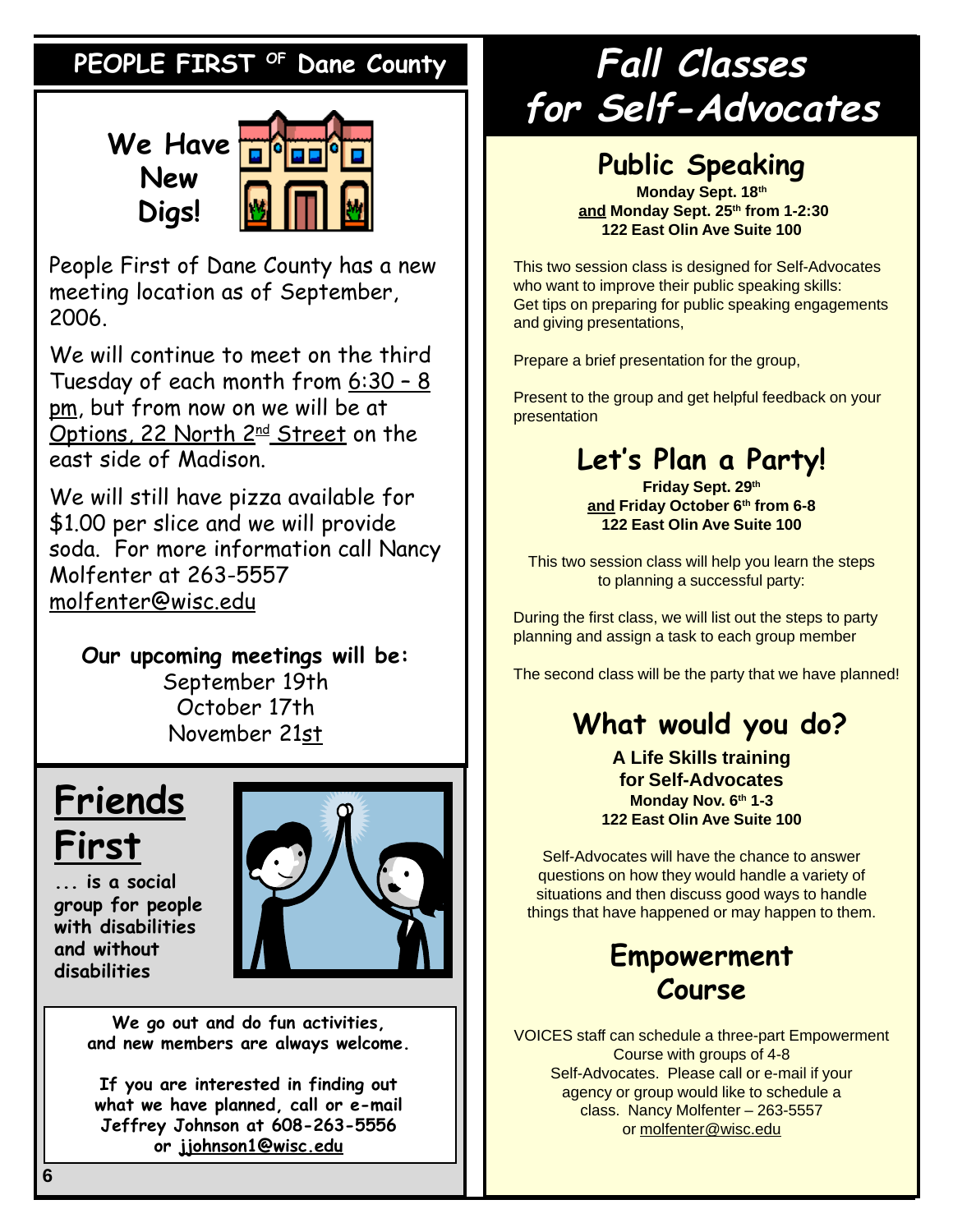## PEOPLE FIRST <sup>OF</sup> Dane County

**We Have New Digs!**



People First of Dane County has a new meeting location as of September, 2006.

We will continue to meet on the third Tuesday of each month from 6:30 – 8 pm, but from now on we will be at Options, 22 North 2<sup>nd</sup> Street on the east side of Madison.

We will still have pizza available for \$1.00 per slice and we will provide soda. For more information call Nancy Molfenter at 263-5557 molfenter@wisc.edu

**Our upcoming meetings will be:** September 19th October 17th November 21st

# **Friends First**

**... is a social group for people with disabilities and without disabilities**



**We go out and do fun activities, and new members are always welcome.**

**If you are interested in finding out what we have planned, call or e-mail Jeffrey Johnson at 608-263-5556 or jjohnson1@wisc.edu**

# **Fall Classes for Self-Advocates**

# **Public Speaking**

**Monday Sept. 18th and Monday Sept. 25th from 1-2:30 122 East Olin Ave Suite 100**

This two session class is designed for Self-Advocates who want to improve their public speaking skills: Get tips on preparing for public speaking engagements and giving presentations,

Prepare a brief presentation for the group,

Present to the group and get helpful feedback on your presentation

# **Let's Plan a Party!**

**Friday Sept. 29th and Friday October 6th from 6-8 122 East Olin Ave Suite 100**

This two session class will help you learn the steps to planning a successful party:

During the first class, we will list out the steps to party planning and assign a task to each group member

The second class will be the party that we have planned!

# **What would you do?**

**A Life Skills training for Self-Advocates Monday Nov. 6th 1-3 122 East Olin Ave Suite 100**

Self-Advocates will have the chance to answer questions on how they would handle a variety of situations and then discuss good ways to handle things that have happened or may happen to them.

### **Empowerment Course**

VOICES staff can schedule a three-part Empowerment Course with groups of 4-8 Self-Advocates. Please call or e-mail if your agency or group would like to schedule a class. Nancy Molfenter – 263-5557 or molfenter@wisc.edu

*CHOICES***, May 2005**

**6**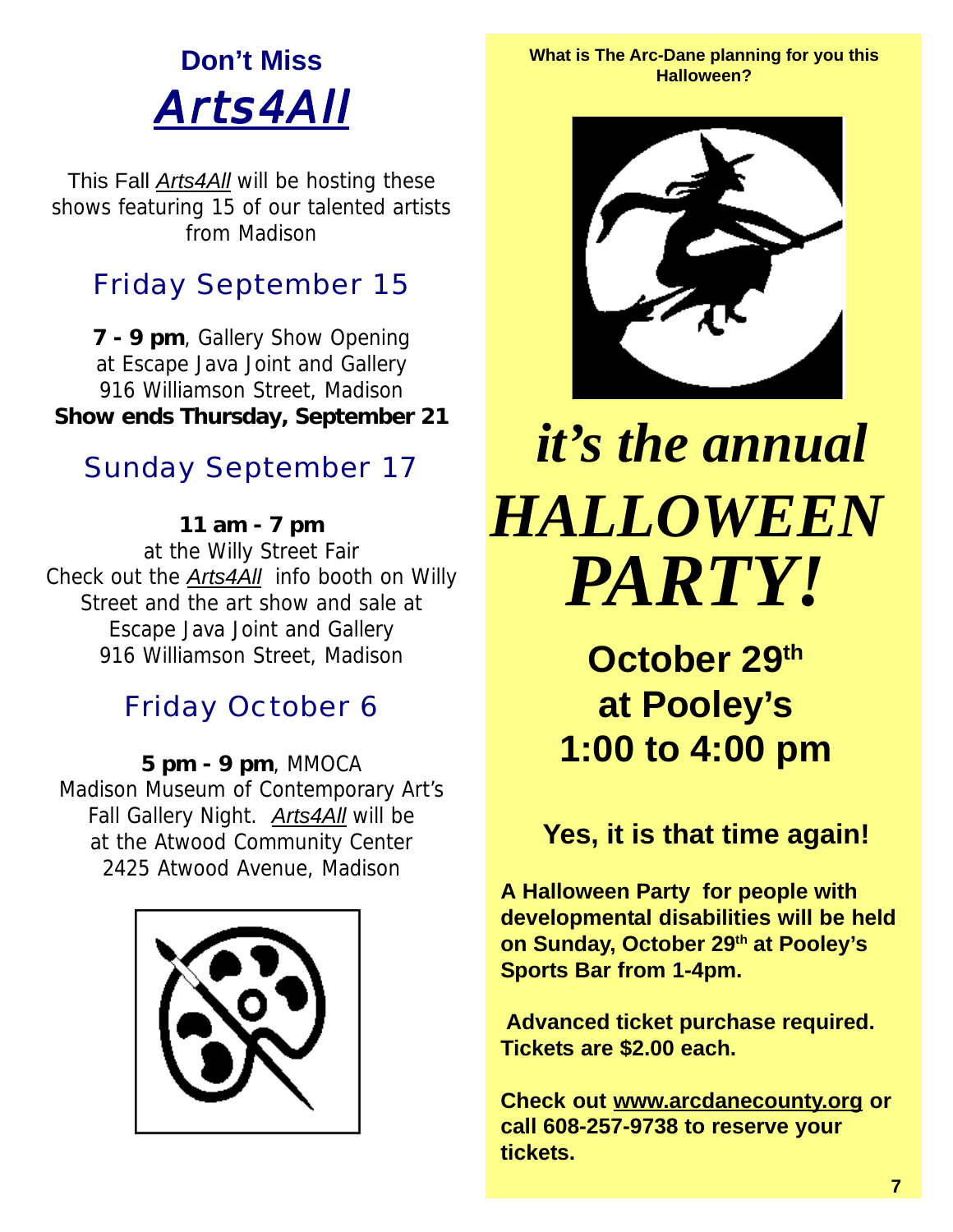# **Don't Miss** Arts4All

This Fall *Arts4All* will be hosting these shows featuring 15 of our talented artists from Madison

# Friday September 15

**7 - 9 pm**, Gallery Show Opening at Escape Java Joint and Gallery 916 Williamson Street, Madison **Show ends Thursday, September 21**

# Sunday September 17

**11 am - 7 pm** at the Willy Street Fair Check out the *Arts4All* info booth on Willy Street and the art show and sale at Escape Java Joint and Gallery 916 Williamson Street, Madison

# Friday October 6

**5 pm - 9 pm**, MMOCA Madison Museum of Contemporary Art's Fall Gallery Night. *Arts4All* will be at the Atwood Community Center 2425 Atwood Avenue, Madison



**What is The Arc-Dane planning for you this Halloween?**



# **HALLOWEEN** *PARTY! it's the annual HALLOWEEN*

**October 29th at Pooley's 1:00 to 4:00 pm**

### **Yes, it is that time again!**

**A Halloween Party for people with developmental disabilities will be held on Sunday, October 29th at Pooley's Sports Bar from 1-4pm.**

 **Advanced ticket purchase required. Tickets are \$2.00 each.**

**Check out www.arcdanecounty.org or call 608-257-9738 to reserve your tickets.**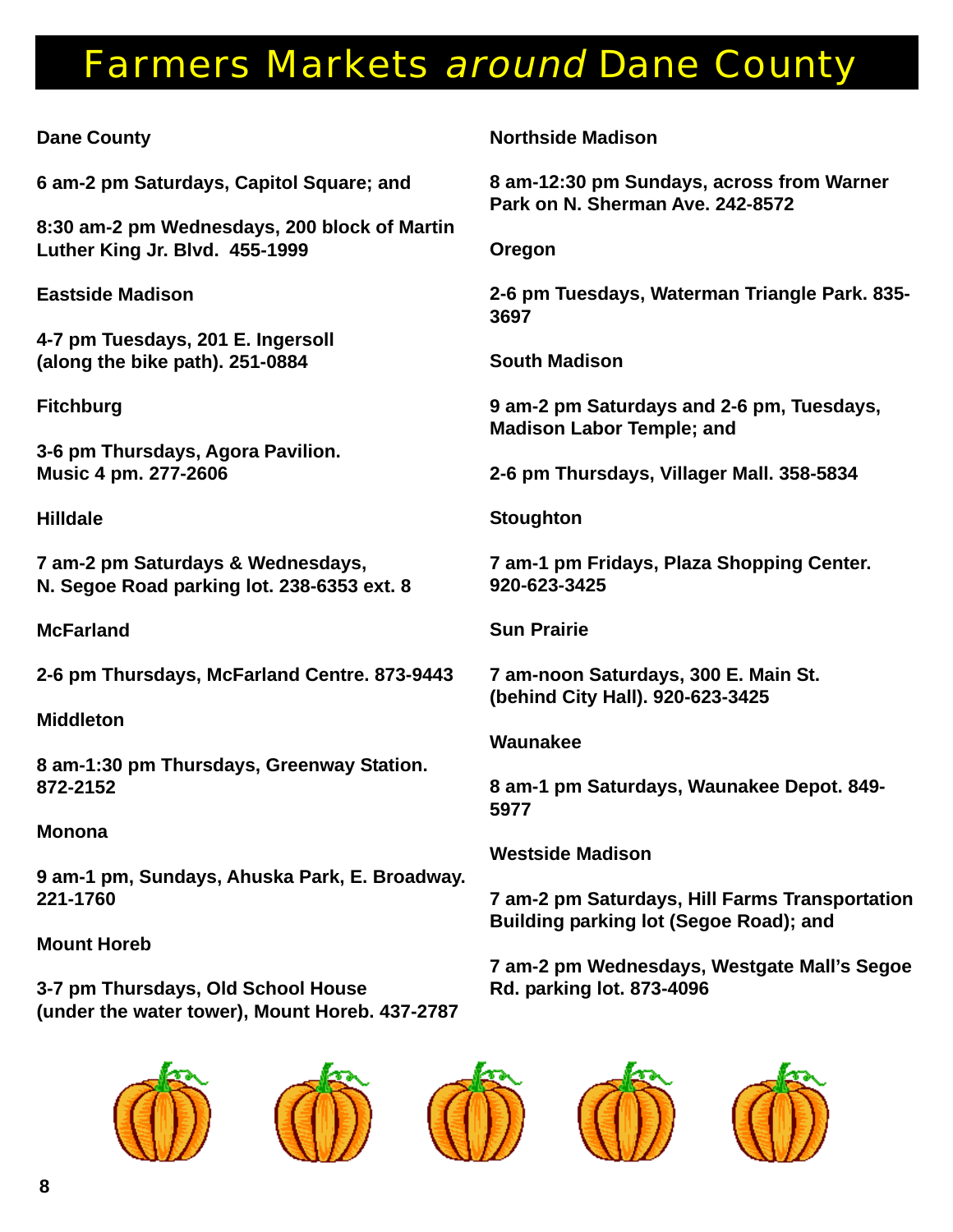# Farmers Markets around Dane County

#### **Dane County**

**6 am-2 pm Saturdays, Capitol Square; and**

**8:30 am-2 pm Wednesdays, 200 block of Martin Luther King Jr. Blvd. 455-1999**

**Eastside Madison**

**4-7 pm Tuesdays, 201 E. Ingersoll (along the bike path). 251-0884**

**Fitchburg**

**3-6 pm Thursdays, Agora Pavilion. Music 4 pm. 277-2606**

**Hilldale**

**7 am-2 pm Saturdays & Wednesdays, N. Segoe Road parking lot. 238-6353 ext. 8**

**McFarland**

**2-6 pm Thursdays, McFarland Centre. 873-9443**

**Middleton**

**8 am-1:30 pm Thursdays, Greenway Station. 872-2152**

#### **Monona**

**9 am-1 pm, Sundays, Ahuska Park, E. Broadway. 221-1760**

#### **Mount Horeb**

**3-7 pm Thursdays, Old School House (under the water tower), Mount Horeb. 437-2787** **Northside Madison**

**8 am-12:30 pm Sundays, across from Warner Park on N. Sherman Ave. 242-8572**

**Oregon**

**2-6 pm Tuesdays, Waterman Triangle Park. 835- 3697**

**South Madison**

**9 am-2 pm Saturdays and 2-6 pm, Tuesdays, Madison Labor Temple; and**

**2-6 pm Thursdays, Villager Mall. 358-5834**

**Stoughton**

**7 am-1 pm Fridays, Plaza Shopping Center. 920-623-3425**

**Sun Prairie**

**7 am-noon Saturdays, 300 E. Main St. (behind City Hall). 920-623-3425**

#### **Waunakee**

**8 am-1 pm Saturdays, Waunakee Depot. 849- 5977**

**Westside Madison**

**7 am-2 pm Saturdays, Hill Farms Transportation Building parking lot (Segoe Road); and**

**7 am-2 pm Wednesdays, Westgate Mall's Segoe Rd. parking lot. 873-4096**









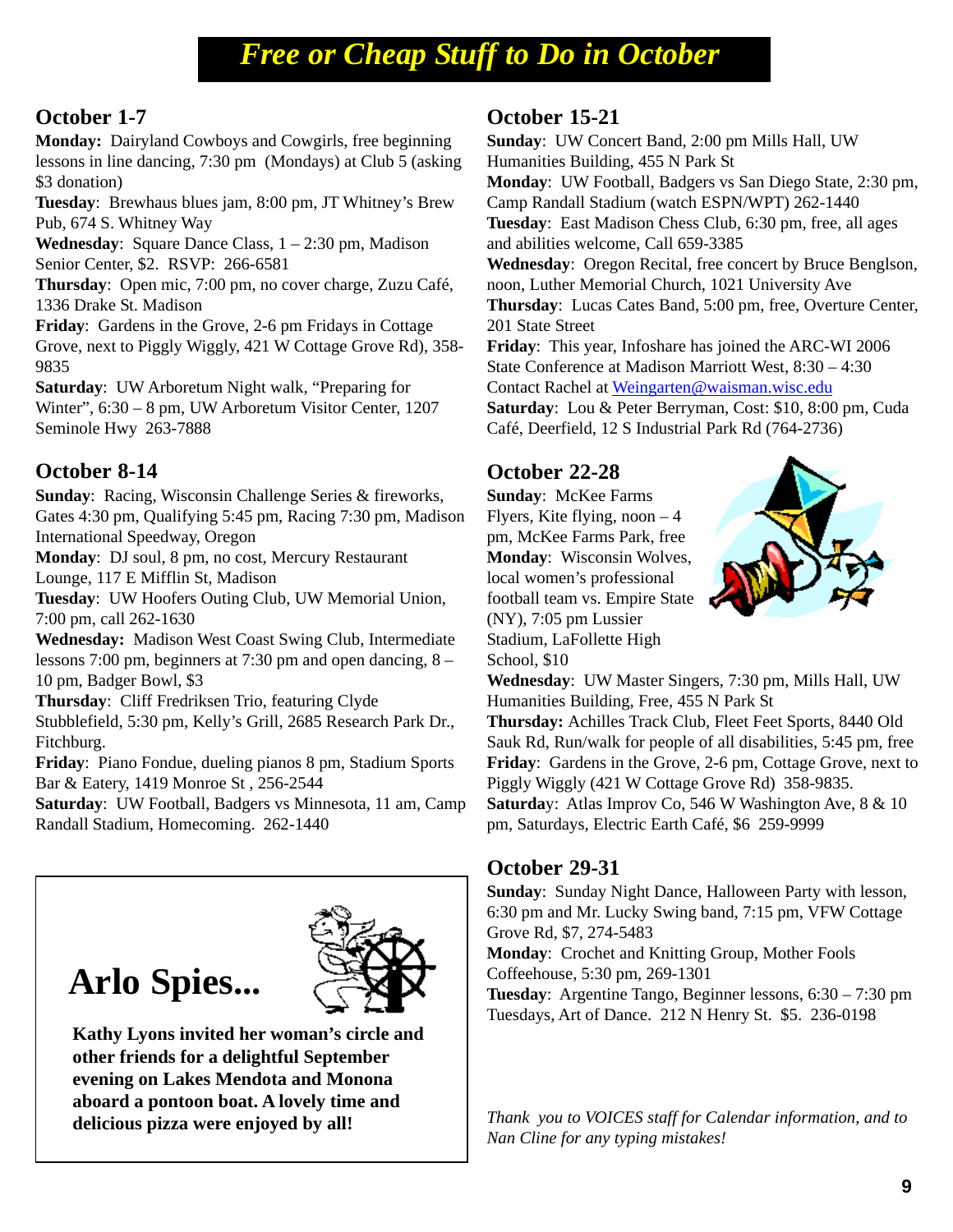# *Free or Cheap Stuff to Do in October*

#### **October 1-7**

**Monday:** Dairyland Cowboys and Cowgirls, free beginning lessons in line dancing, 7:30 pm (Mondays) at Club 5 (asking \$3 donation)

**Tuesday**: Brewhaus blues jam, 8:00 pm, JT Whitney's Brew Pub, 674 S. Whitney Way

**Wednesday**: Square Dance Class, 1 – 2:30 pm, Madison Senior Center, \$2. RSVP: 266-6581

**Thursday**: Open mic, 7:00 pm, no cover charge, Zuzu Café, 1336 Drake St. Madison

**Friday**: Gardens in the Grove, 2-6 pm Fridays in Cottage Grove, next to Piggly Wiggly, 421 W Cottage Grove Rd), 358- 9835

**Saturday**: UW Arboretum Night walk, "Preparing for Winter", 6:30 – 8 pm, UW Arboretum Visitor Center, 1207 Seminole Hwy 263-7888

#### **October 8-14**

**Sunday**: Racing, Wisconsin Challenge Series & fireworks, Gates 4:30 pm, Qualifying 5:45 pm, Racing 7:30 pm, Madison International Speedway, Oregon

**Monday**: DJ soul, 8 pm, no cost, Mercury Restaurant Lounge, 117 E Mifflin St, Madison

**Tuesday**: UW Hoofers Outing Club, UW Memorial Union, 7:00 pm, call 262-1630

**Wednesday:** Madison West Coast Swing Club, Intermediate lessons 7:00 pm, beginners at 7:30 pm and open dancing, 8 – 10 pm, Badger Bowl, \$3

**Thursday**: Cliff Fredriksen Trio, featuring Clyde Stubblefield, 5:30 pm, Kelly's Grill, 2685 Research Park Dr., Fitchburg.

**Friday**: Piano Fondue, dueling pianos 8 pm, Stadium Sports Bar & Eatery, 1419 Monroe St , 256-2544

**Saturday**: UW Football, Badgers vs Minnesota, 11 am, Camp Randall Stadium, Homecoming. 262-1440

# **Arlo Spies...**



**Kathy Lyons invited her woman's circle and other friends for a delightful September evening on Lakes Mendota and Monona aboard a pontoon boat. A lovely time and delicious pizza were enjoyed by all!**

#### **October 15-21**

**Sunday**: UW Concert Band, 2:00 pm Mills Hall, UW Humanities Building, 455 N Park St **Monday**: UW Football, Badgers vs San Diego State, 2:30 pm, Camp Randall Stadium (watch ESPN/WPT) 262-1440 **Tuesday**: East Madison Chess Club, 6:30 pm, free, all ages and abilities welcome, Call 659-3385 **Wednesday**: Oregon Recital, free concert by Bruce Benglson, noon, Luther Memorial Church, 1021 University Ave **Thursday**: Lucas Cates Band, 5:00 pm, free, Overture Center, 201 State Street **Friday**: This year, Infoshare has joined the ARC-WI 2006 State Conference at Madison Marriott West, 8:30 – 4:30

Contact Rachel at Weingarten@waisman.wisc.edu

**Saturday**: Lou & Peter Berryman, Cost: \$10, 8:00 pm, Cuda Café, Deerfield, 12 S Industrial Park Rd (764-2736)

#### **October 22-28**

**Sunday**: McKee Farms Flyers, Kite flying, noon  $-4$ pm, McKee Farms Park, free **Monday**: Wisconsin Wolves, local women's professional football team vs. Empire State (NY), 7:05 pm Lussier Stadium, LaFollette High School, \$10



**Wednesday**: UW Master Singers, 7:30 pm, Mills Hall, UW Humanities Building, Free, 455 N Park St

**Thursday:** Achilles Track Club, Fleet Feet Sports, 8440 Old Sauk Rd, Run/walk for people of all disabilities, 5:45 pm, free **Friday**: Gardens in the Grove, 2-6 pm, Cottage Grove, next to Piggly Wiggly (421 W Cottage Grove Rd) 358-9835. **Saturda**y: Atlas Improv Co, 546 W Washington Ave, 8 & 10 pm, Saturdays, Electric Earth Café, \$6 259-9999

#### **October 29-31**

**Sunday**: Sunday Night Dance, Halloween Party with lesson, 6:30 pm and Mr. Lucky Swing band, 7:15 pm, VFW Cottage Grove Rd, \$7, 274-5483

**Monday**: Crochet and Knitting Group, Mother Fools Coffeehouse, 5:30 pm, 269-1301

**Tuesday**: Argentine Tango, Beginner lessons, 6:30 – 7:30 pm Tuesdays, Art of Dance. 212 N Henry St. \$5. 236-0198

*Thank you to VOICES staff for Calendar information, and to Nan Cline for any typing mistakes!*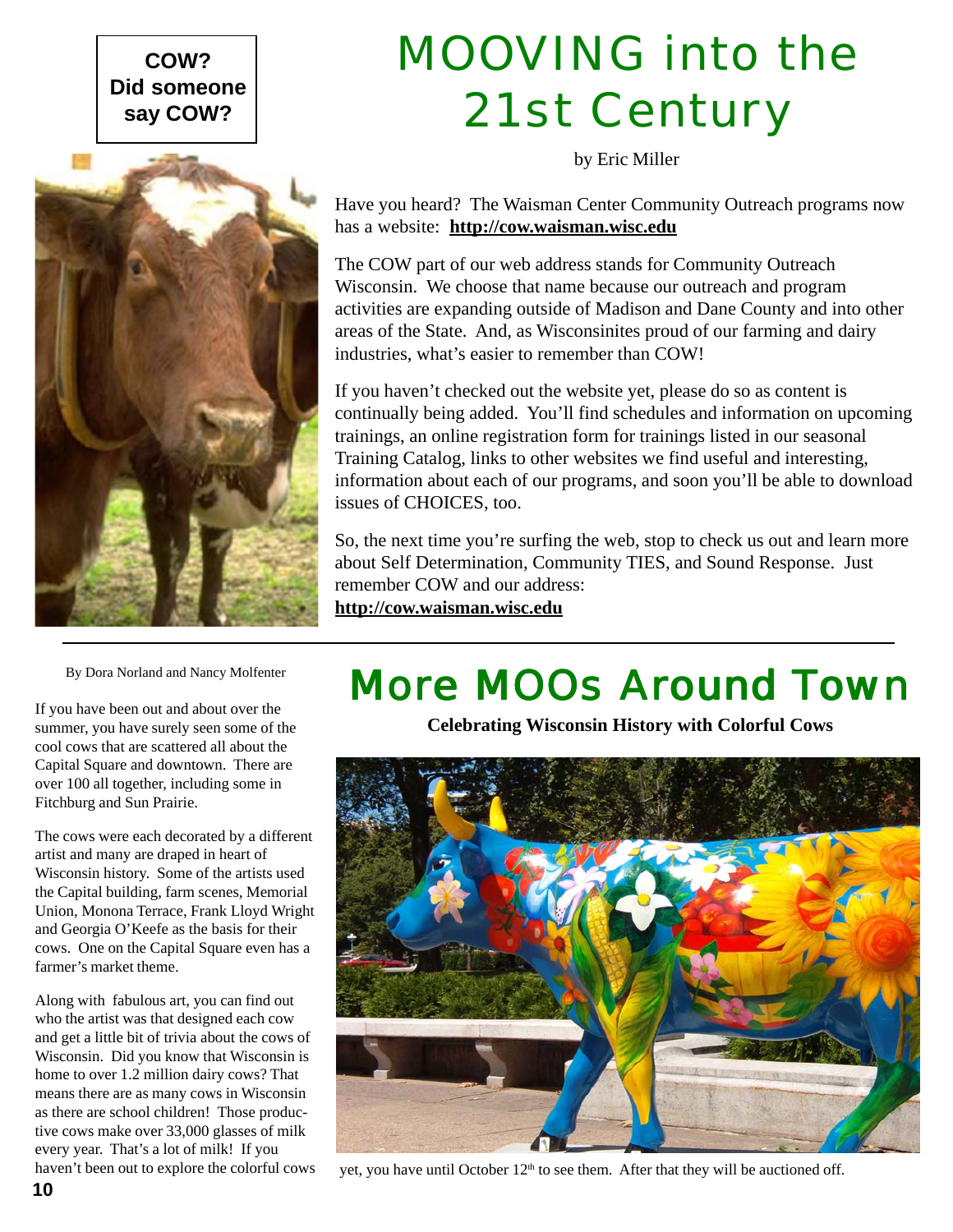#### **COW? Did someone say COW?**



# MOOVING into the 21st Century

by Eric Miller

Have you heard? The Waisman Center Community Outreach programs now has a website: **http://cow.waisman.wisc.edu**

The COW part of our web address stands for Community Outreach Wisconsin. We choose that name because our outreach and program activities are expanding outside of Madison and Dane County and into other areas of the State. And, as Wisconsinites proud of our farming and dairy industries, what's easier to remember than COW!

If you haven't checked out the website yet, please do so as content is continually being added. You'll find schedules and information on upcoming trainings, an online registration form for trainings listed in our seasonal Training Catalog, links to other websites we find useful and interesting, information about each of our programs, and soon you'll be able to download issues of CHOICES, too.

So, the next time you're surfing the web, stop to check us out and learn more about Self Determination, Community TIES, and Sound Response. Just remember COW and our address: **http://cow.waisman.wisc.edu**

By Dora Norland and Nancy Molfenter

If you have been out and about over the summer, you have surely seen some of the cool cows that are scattered all about the Capital Square and downtown. There are over 100 all together, including some in Fitchburg and Sun Prairie.

The cows were each decorated by a different artist and many are draped in heart of Wisconsin history. Some of the artists used the Capital building, farm scenes, Memorial Union, Monona Terrace, Frank Lloyd Wright and Georgia O'Keefe as the basis for their cows. One on the Capital Square even has a farmer's market theme.

Along with fabulous art, you can find out who the artist was that designed each cow and get a little bit of trivia about the cows of Wisconsin. Did you know that Wisconsin is home to over 1.2 million dairy cows? That means there are as many cows in Wisconsin as there are school children! Those productive cows make over 33,000 glasses of milk every year. That's a lot of milk! If you

# More MOOs Around Town

**Celebrating Wisconsin History with Colorful Cows**



haven't been out to explore the colorful cows yet, you have until October  $12<sup>th</sup>$  to see them. After that they will be auctioned off.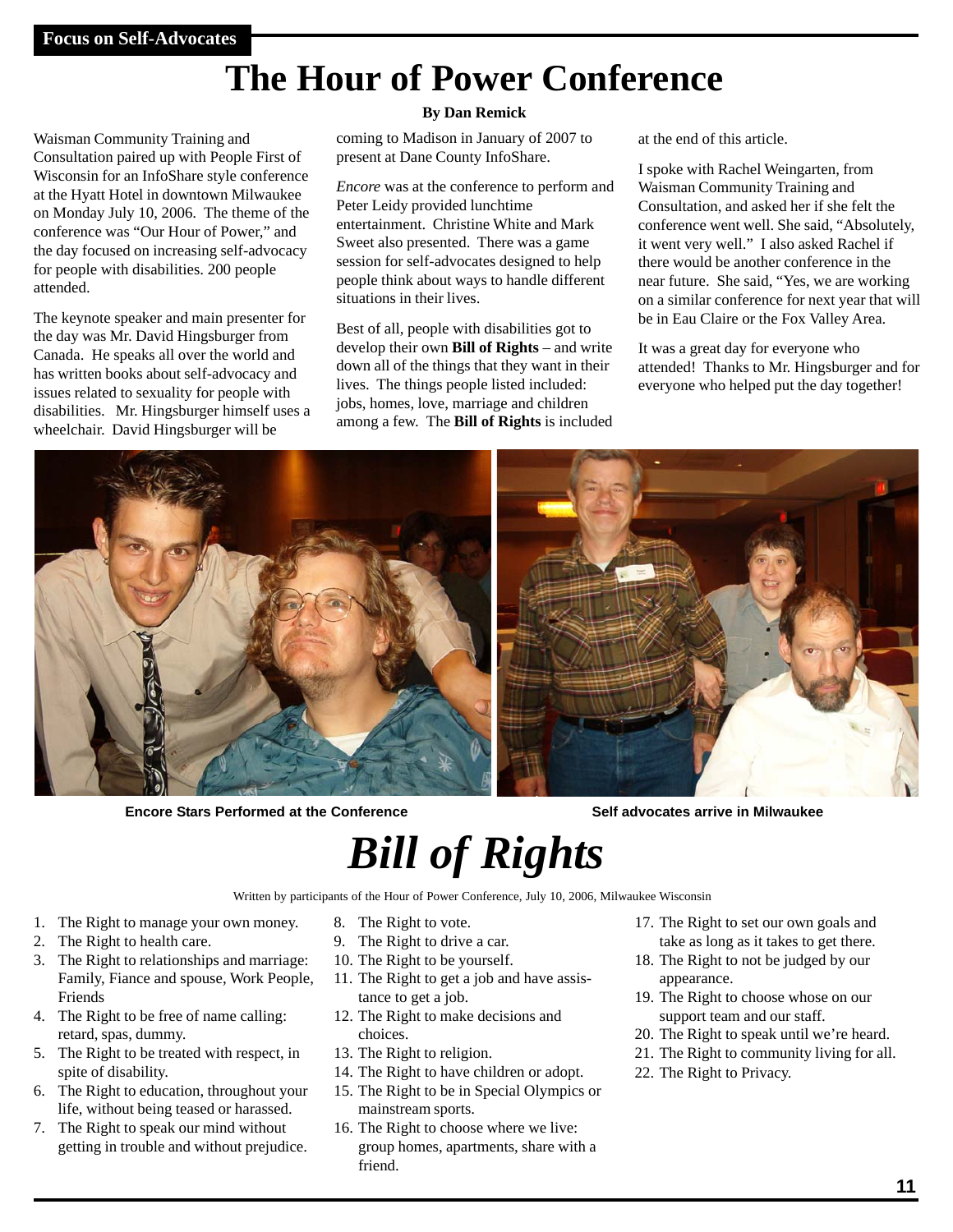# **The Hour of Power Conference**

Waisman Community Training and Consultation paired up with People First of Wisconsin for an InfoShare style conference at the Hyatt Hotel in downtown Milwaukee on Monday July 10, 2006. The theme of the conference was "Our Hour of Power," and the day focused on increasing self-advocacy for people with disabilities. 200 people attended.

The keynote speaker and main presenter for the day was Mr. David Hingsburger from Canada. He speaks all over the world and has written books about self-advocacy and issues related to sexuality for people with disabilities. Mr. Hingsburger himself uses a wheelchair. David Hingsburger will be

#### **By Dan Remick**

coming to Madison in January of 2007 to present at Dane County InfoShare.

*Encore* was at the conference to perform and Peter Leidy provided lunchtime entertainment. Christine White and Mark Sweet also presented. There was a game session for self-advocates designed to help people think about ways to handle different situations in their lives.

Best of all, people with disabilities got to develop their own **Bill of Rights** – and write down all of the things that they want in their lives. The things people listed included: jobs, homes, love, marriage and children among a few. The **Bill of Rights** is included at the end of this article.

I spoke with Rachel Weingarten, from Waisman Community Training and Consultation, and asked her if she felt the conference went well. She said, "Absolutely, it went very well." I also asked Rachel if there would be another conference in the near future. She said, "Yes, we are working on a similar conference for next year that will be in Eau Claire or the Fox Valley Area.

It was a great day for everyone who attended! Thanks to Mr. Hingsburger and for everyone who helped put the day together!



**Encore Stars Performed at the Conference Self advocates arrive in Milwaukee**

# *Bill of Rights*

Written by participants of the Hour of Power Conference, July 10, 2006, Milwaukee Wisconsin

- 1. The Right to manage your own money.
- 2. The Right to health care.
- 3. The Right to relationships and marriage: Family, Fiance and spouse, Work People, Friends
- 4. The Right to be free of name calling: retard, spas, dummy.
- 5. The Right to be treated with respect, in spite of disability.
- 6. The Right to education, throughout your life, without being teased or harassed.
- 7. The Right to speak our mind without getting in trouble and without prejudice.
- 8. The Right to vote.
- 9. The Right to drive a car.
- 10. The Right to be yourself.
- 11. The Right to get a job and have assistance to get a job.
- 12. The Right to make decisions and choices.
- 13. The Right to religion.
- 14. The Right to have children or adopt.
- 15. The Right to be in Special Olympics or mainstream sports.
- 16. The Right to choose where we live: group homes, apartments, share with a friend.
- 17. The Right to set our own goals and take as long as it takes to get there.
- 18. The Right to not be judged by our appearance.
- 19. The Right to choose whose on our support team and our staff.
- 20. The Right to speak until we're heard.
- 21. The Right to community living for all.
- 22. The Right to Privacy.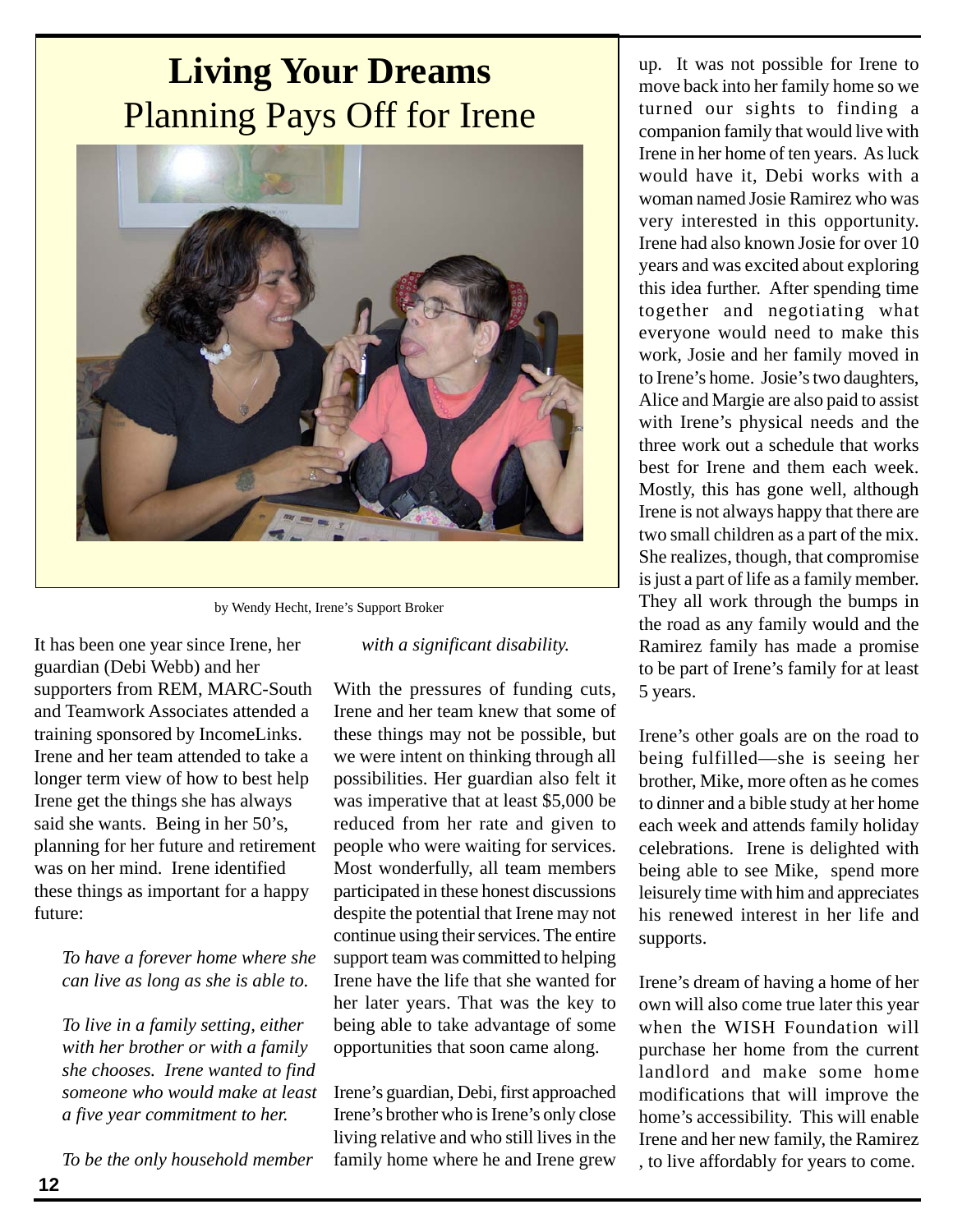# **Living Your Dreams** Planning Pays Off for Irene



by Wendy Hecht, Irene's Support Broker

It has been one year since Irene, her guardian (Debi Webb) and her supporters from REM, MARC-South and Teamwork Associates attended a training sponsored by IncomeLinks. Irene and her team attended to take a longer term view of how to best help Irene get the things she has always said she wants. Being in her 50's, planning for her future and retirement was on her mind. Irene identified these things as important for a happy future:

*To have a forever home where she can live as long as she is able to.*

*To live in a family setting, either with her brother or with a family she chooses. Irene wanted to find someone who would make at least a five year commitment to her.*

*To be the only household member*

*with a significant disability.*

With the pressures of funding cuts, Irene and her team knew that some of these things may not be possible, but we were intent on thinking through all possibilities. Her guardian also felt it was imperative that at least \$5,000 be reduced from her rate and given to people who were waiting for services. Most wonderfully, all team members participated in these honest discussions despite the potential that Irene may not continue using their services. The entire support team was committed to helping Irene have the life that she wanted for her later years. That was the key to being able to take advantage of some opportunities that soon came along.

Irene's guardian, Debi, first approached Irene's brother who is Irene's only close living relative and who still lives in the family home where he and Irene grew

up. It was not possible for Irene to move back into her family home so we turned our sights to finding a companion family that would live with Irene in her home of ten years. As luck would have it, Debi works with a woman named Josie Ramirez who was very interested in this opportunity. Irene had also known Josie for over 10 years and was excited about exploring this idea further. After spending time together and negotiating what everyone would need to make this work, Josie and her family moved in to Irene's home. Josie's two daughters, Alice and Margie are also paid to assist with Irene's physical needs and the three work out a schedule that works best for Irene and them each week. Mostly, this has gone well, although Irene is not always happy that there are two small children as a part of the mix. She realizes, though, that compromise is just a part of life as a family member. They all work through the bumps in the road as any family would and the Ramirez family has made a promise to be part of Irene's family for at least 5 years.

Irene's other goals are on the road to being fulfilled—she is seeing her brother, Mike, more often as he comes to dinner and a bible study at her home each week and attends family holiday celebrations. Irene is delighted with being able to see Mike, spend more leisurely time with him and appreciates his renewed interest in her life and supports.

Irene's dream of having a home of her own will also come true later this year when the WISH Foundation will purchase her home from the current landlord and make some home modifications that will improve the home's accessibility. This will enable Irene and her new family, the Ramirez , to live affordably for years to come.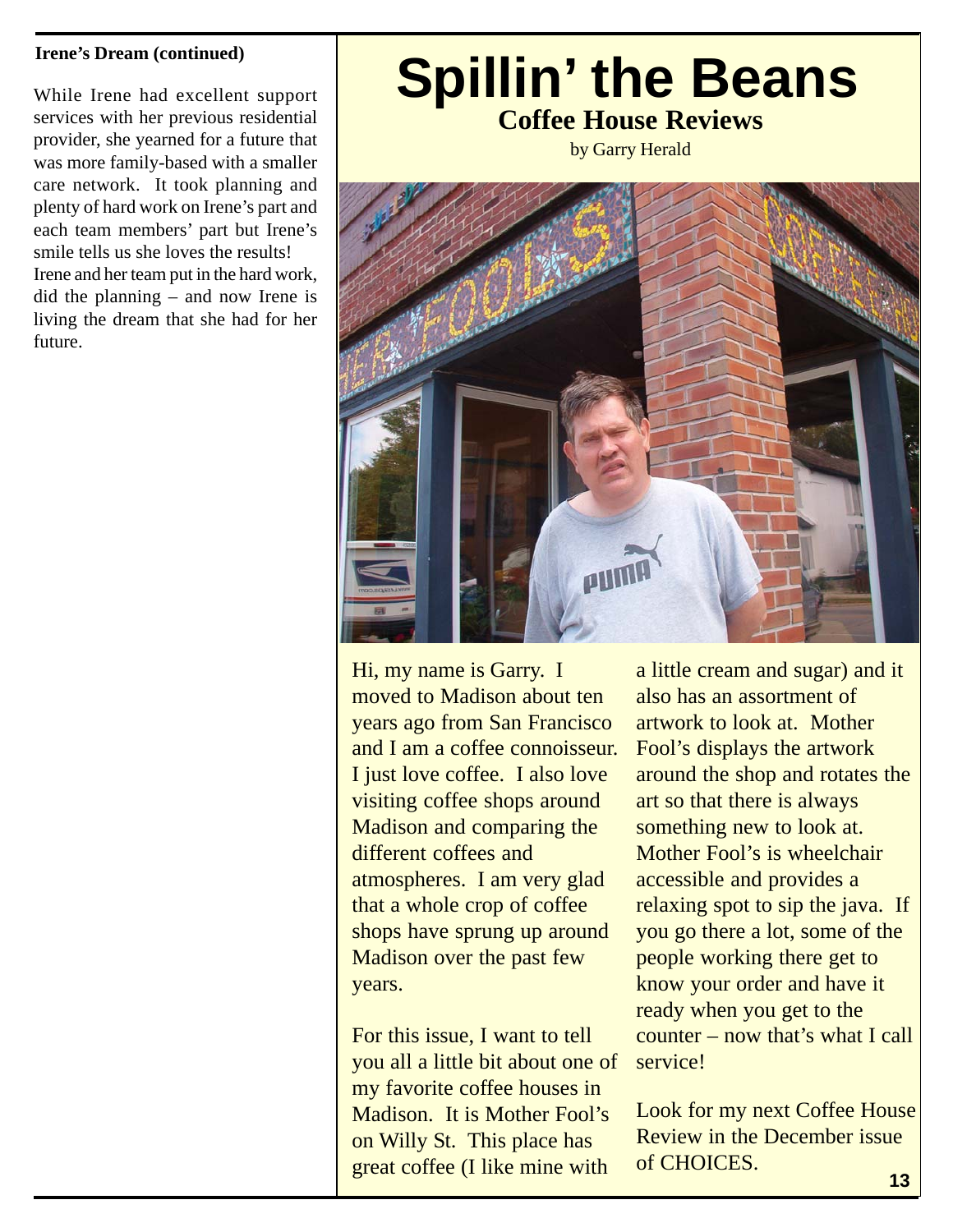#### **Irene's Dream (continued)**

While Irene had excellent support services with her previous residential provider, she yearned for a future that was more family-based with a smaller care network. It took planning and plenty of hard work on Irene's part and each team members' part but Irene's smile tells us she loves the results! Irene and her team put in the hard work, did the planning – and now Irene is living the dream that she had for her future.

# **Coffee House Reviews Spillin' the Beans**

by Garry Herald



Hi, my name is Garry. I moved to Madison about ten years ago from San Francisco and I am a coffee connoisseur. I just love coffee. I also love visiting coffee shops around Madison and comparing the different coffees and atmospheres. I am very glad that a whole crop of coffee shops have sprung up around Madison over the past few years.

For this issue, I want to tell you all a little bit about one of my favorite coffee houses in Madison. It is Mother Fool's on Willy St. This place has great coffee (I like mine with

a little cream and sugar) and it also has an assortment of artwork to look at. Mother Fool's displays the artwork around the shop and rotates the art so that there is always something new to look at. Mother Fool's is wheelchair accessible and provides a relaxing spot to sip the java. If you go there a lot, some of the people working there get to know your order and have it ready when you get to the counter – now that's what I call service!

Look for my next Coffee House Review in the December issue of CHOICES.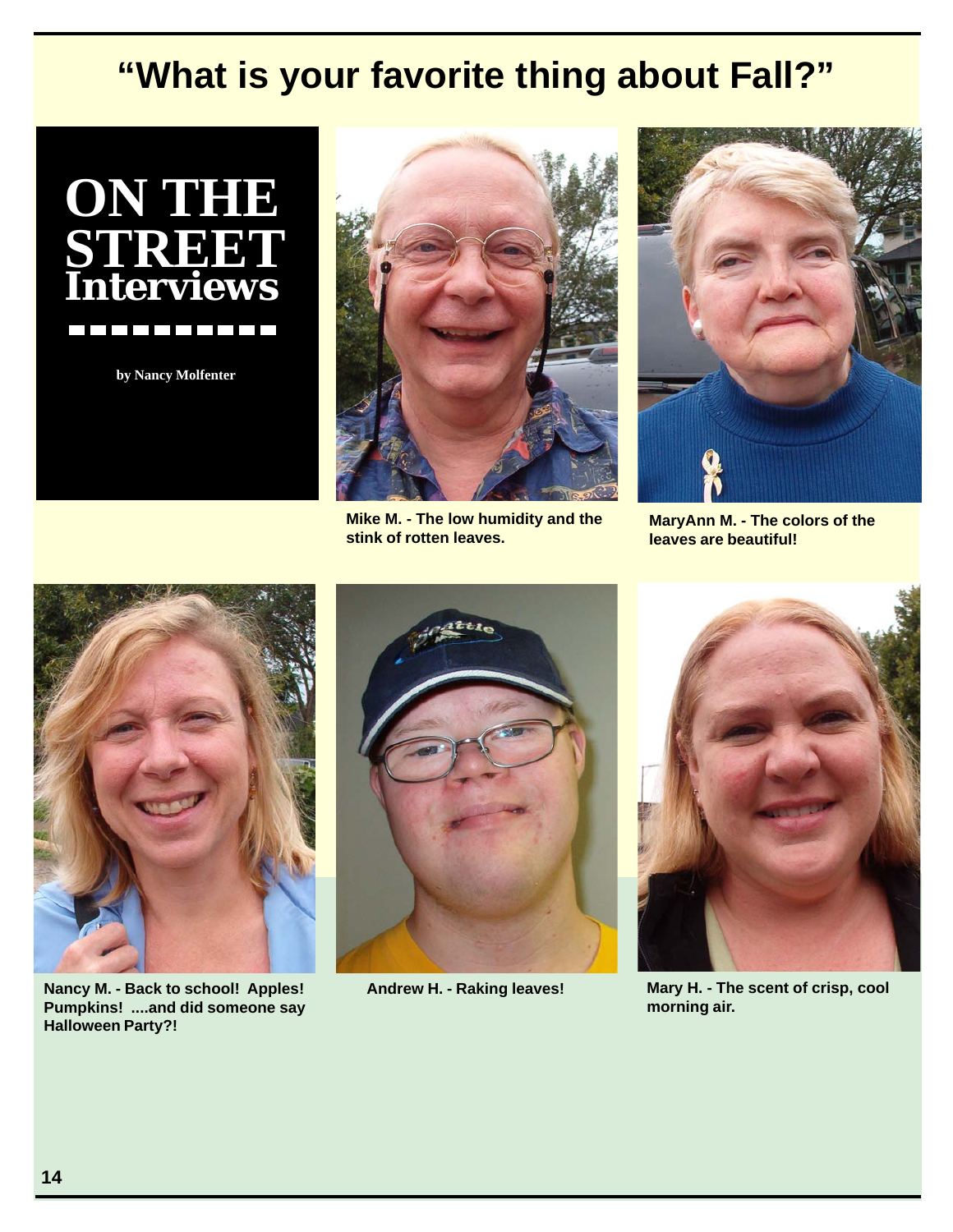# **"What is your favorite thing about Fall?"**



**by Nancy Molfenter**



**Mike M. - The low humidity and the stink of rotten leaves.**



**MaryAnn M. - The colors of the leaves are beautiful!**



**Nancy M. - Back to school! Apples! Pumpkins! ....and did someone say Halloween Party?!**



**Andrew H. - Raking leaves!**



**Mary H. - The scent of crisp, cool morning air.**

*CHOICES***, May 2005**